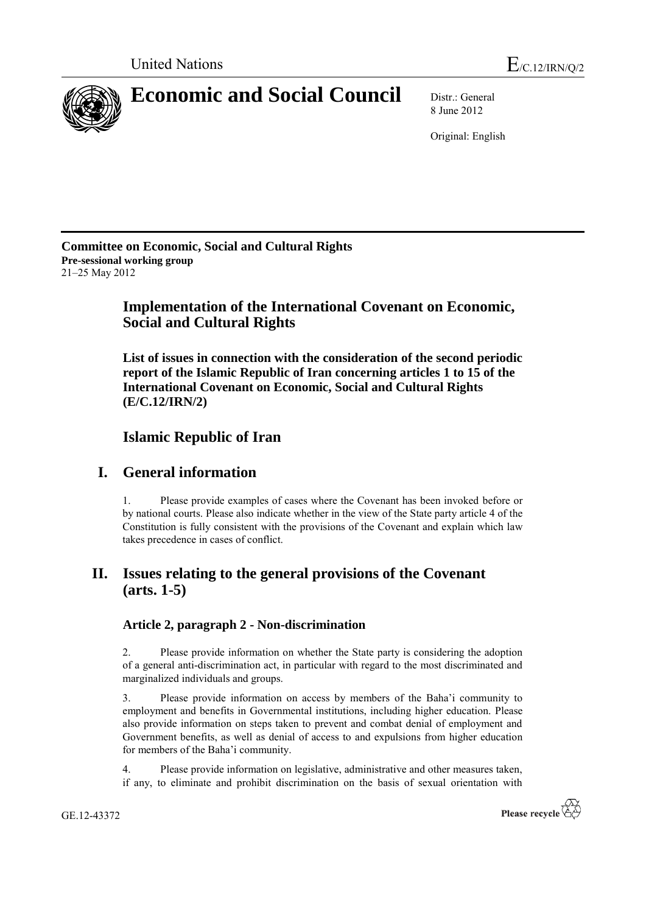

8 June 2012

Original: English

**Committee on Economic, Social and Cultural Rights Pre-sessional working group** 21–25 May 2012

# **Implementation of the International Covenant on Economic, Social and Cultural Rights**

**List of issues in connection with the consideration of the second periodic report of the Islamic Republic of Iran concerning articles 1 to 15 of the International Covenant on Economic, Social and Cultural Rights (E/C.12/IRN/2)**

# **Islamic Republic of Iran**

# **I. General information**

1. Please provide examples of cases where the Covenant has been invoked before or by national courts. Please also indicate whether in the view of the State party article 4 of the Constitution is fully consistent with the provisions of the Covenant and explain which law takes precedence in cases of conflict.

# **II. Issues relating to the general provisions of the Covenant (arts. 1-5)**

## **Article 2, paragraph 2 - Non-discrimination**

2. Please provide information on whether the State party is considering the adoption of a general anti-discrimination act, in particular with regard to the most discriminated and marginalized individuals and groups.

3. Please provide information on access by members of the Baha'i community to employment and benefits in Governmental institutions, including higher education. Please also provide information on steps taken to prevent and combat denial of employment and Government benefits, as well as denial of access to and expulsions from higher education for members of the Baha'i community.

4. Please provide information on legislative, administrative and other measures taken, if any, to eliminate and prohibit discrimination on the basis of sexual orientation with

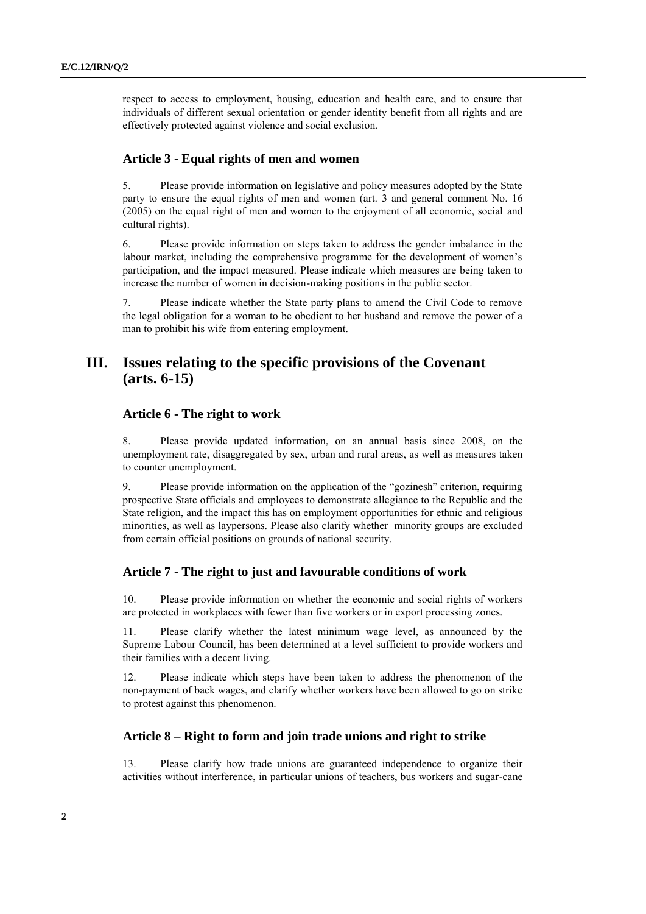respect to access to employment, housing, education and health care, and to ensure that individuals of different sexual orientation or gender identity benefit from all rights and are effectively protected against violence and social exclusion.

### **Article 3 - Equal rights of men and women**

5. Please provide information on legislative and policy measures adopted by the State party to ensure the equal rights of men and women (art. 3 and general comment No. 16 (2005) on the equal right of men and women to the enjoyment of all economic, social and cultural rights).

6. Please provide information on steps taken to address the gender imbalance in the labour market, including the comprehensive programme for the development of women's participation, and the impact measured. Please indicate which measures are being taken to increase the number of women in decision-making positions in the public sector.

7. Please indicate whether the State party plans to amend the Civil Code to remove the legal obligation for a woman to be obedient to her husband and remove the power of a man to prohibit his wife from entering employment.

# **III. Issues relating to the specific provisions of the Covenant (arts. 6-15)**

## **Article 6 - The right to work**

8. Please provide updated information, on an annual basis since 2008, on the unemployment rate, disaggregated by sex, urban and rural areas, as well as measures taken to counter unemployment.

9. Please provide information on the application of the "gozinesh" criterion, requiring prospective State officials and employees to demonstrate allegiance to the Republic and the State religion, and the impact this has on employment opportunities for ethnic and religious minorities, as well as laypersons. Please also clarify whether minority groups are excluded from certain official positions on grounds of national security.

#### **Article 7 - The right to just and favourable conditions of work**

10. Please provide information on whether the economic and social rights of workers are protected in workplaces with fewer than five workers or in export processing zones.

11. Please clarify whether the latest minimum wage level, as announced by the Supreme Labour Council, has been determined at a level sufficient to provide workers and their families with a decent living.

12. Please indicate which steps have been taken to address the phenomenon of the non-payment of back wages, and clarify whether workers have been allowed to go on strike to protest against this phenomenon.

### **Article 8 – Right to form and join trade unions and right to strike**

13. Please clarify how trade unions are guaranteed independence to organize their activities without interference, in particular unions of teachers, bus workers and sugar-cane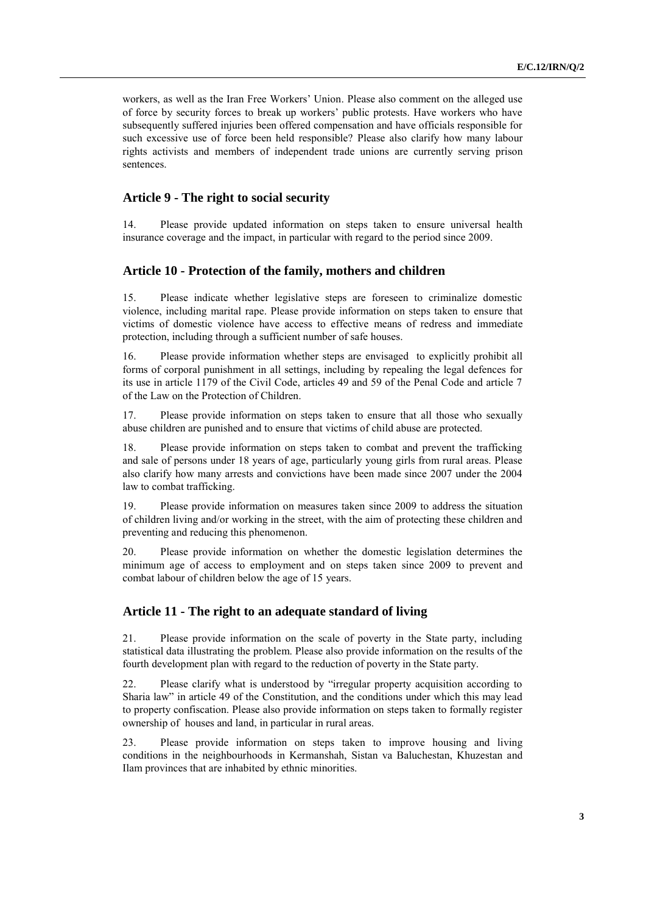workers, as well as the Iran Free Workers' Union. Please also comment on the alleged use of force by security forces to break up workers' public protests. Have workers who have subsequently suffered injuries been offered compensation and have officials responsible for such excessive use of force been held responsible? Please also clarify how many labour rights activists and members of independent trade unions are currently serving prison sentences.

### **Article 9 - The right to social security**

14. Please provide updated information on steps taken to ensure universal health insurance coverage and the impact, in particular with regard to the period since 2009.

#### **Article 10 - Protection of the family, mothers and children**

15. Please indicate whether legislative steps are foreseen to criminalize domestic violence, including marital rape. Please provide information on steps taken to ensure that victims of domestic violence have access to effective means of redress and immediate protection, including through a sufficient number of safe houses.

16. Please provide information whether steps are envisaged to explicitly prohibit all forms of corporal punishment in all settings, including by repealing the legal defences for its use in article 1179 of the Civil Code, articles 49 and 59 of the Penal Code and article 7 of the Law on the Protection of Children.

17. Please provide information on steps taken to ensure that all those who sexually abuse children are punished and to ensure that victims of child abuse are protected.

18. Please provide information on steps taken to combat and prevent the trafficking and sale of persons under 18 years of age, particularly young girls from rural areas. Please also clarify how many arrests and convictions have been made since 2007 under the 2004 law to combat trafficking.

19. Please provide information on measures taken since 2009 to address the situation of children living and/or working in the street, with the aim of protecting these children and preventing and reducing this phenomenon.

20. Please provide information on whether the domestic legislation determines the minimum age of access to employment and on steps taken since 2009 to prevent and combat labour of children below the age of 15 years.

### **Article 11 - The right to an adequate standard of living**

21. Please provide information on the scale of poverty in the State party, including statistical data illustrating the problem. Please also provide information on the results of the fourth development plan with regard to the reduction of poverty in the State party.

22. Please clarify what is understood by "irregular property acquisition according to Sharia law" in article 49 of the Constitution, and the conditions under which this may lead to property confiscation. Please also provide information on steps taken to formally register ownership of houses and land, in particular in rural areas.

23. Please provide information on steps taken to improve housing and living conditions in the neighbourhoods in Kermanshah, Sistan va Baluchestan, Khuzestan and Ilam provinces that are inhabited by ethnic minorities.